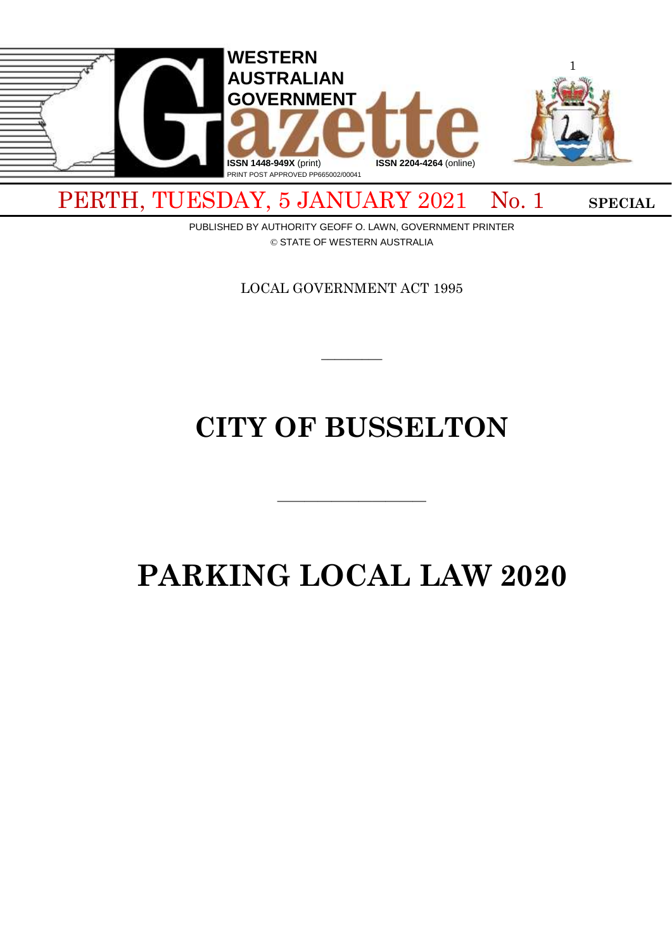

PERTH, TUESDAY, 5 JANUARY 2021 No. 1 SPECIAL

PUBLISHED BY AUTHORITY GEOFF O. LAWN, GOVERNMENT PRINTER © STATE OF WESTERN AUSTRALIA

LOCAL GOVERNMENT ACT 1995

 $\overline{\phantom{a}}$ 

# **CITY OF BUSSELTON**

# **PARKING LOCAL LAW 2020**

 $\overline{\phantom{a}}$  , and the contract of  $\overline{\phantom{a}}$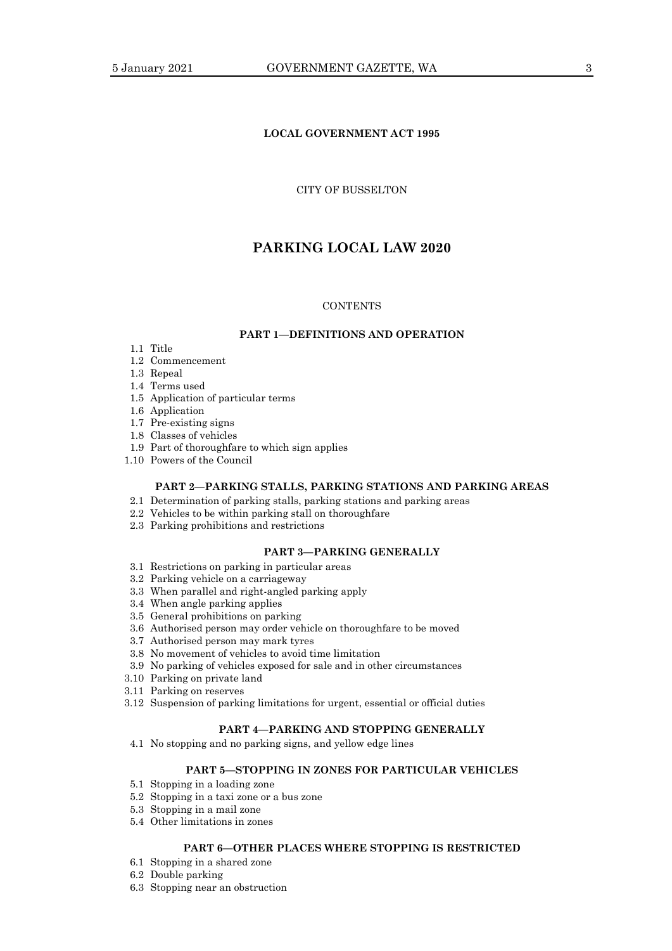## **LOCAL GOVERNMENT ACT 1995**

## CITY OF BUSSELTON

# **PARKING LOCAL LAW 2020**

## **CONTENTS**

## **PART 1—DEFINITIONS AND OPERATION**

- 1.1 Title
- 1.2 Commencement
- 1.3 Repeal
- 1.4 Terms used
- 1.5 Application of particular terms
- 1.6 Application
- 1.7 Pre-existing signs
- 1.8 Classes of vehicles
- 1.9 Part of thoroughfare to which sign applies
- 1.10 Powers of the Council

## **PART 2—PARKING STALLS, PARKING STATIONS AND PARKING AREAS**

- 2.1 Determination of parking stalls, parking stations and parking areas
- 2.2 Vehicles to be within parking stall on thoroughfare
- 2.3 Parking prohibitions and restrictions

## **PART 3—PARKING GENERALLY**

- 3.1 Restrictions on parking in particular areas
- 3.2 Parking vehicle on a carriageway
- 3.3 When parallel and right-angled parking apply
- 3.4 When angle parking applies
- 3.5 General prohibitions on parking
- 3.6 Authorised person may order vehicle on thoroughfare to be moved
- 3.7 Authorised person may mark tyres
- 3.8 No movement of vehicles to avoid time limitation
- 3.9 No parking of vehicles exposed for sale and in other circumstances
- 3.10 Parking on private land
- 3.11 Parking on reserves
- 3.12 Suspension of parking limitations for urgent, essential or official duties

#### **PART 4—PARKING AND STOPPING GENERALLY**

4.1 No stopping and no parking signs, and yellow edge lines

#### **PART 5—STOPPING IN ZONES FOR PARTICULAR VEHICLES**

- 5.1 Stopping in a loading zone
- 5.2 Stopping in a taxi zone or a bus zone
- 5.3 Stopping in a mail zone
- 5.4 Other limitations in zones

## **PART 6—OTHER PLACES WHERE STOPPING IS RESTRICTED**

- 6.1 Stopping in a shared zone
- 6.2 Double parking
- 6.3 Stopping near an obstruction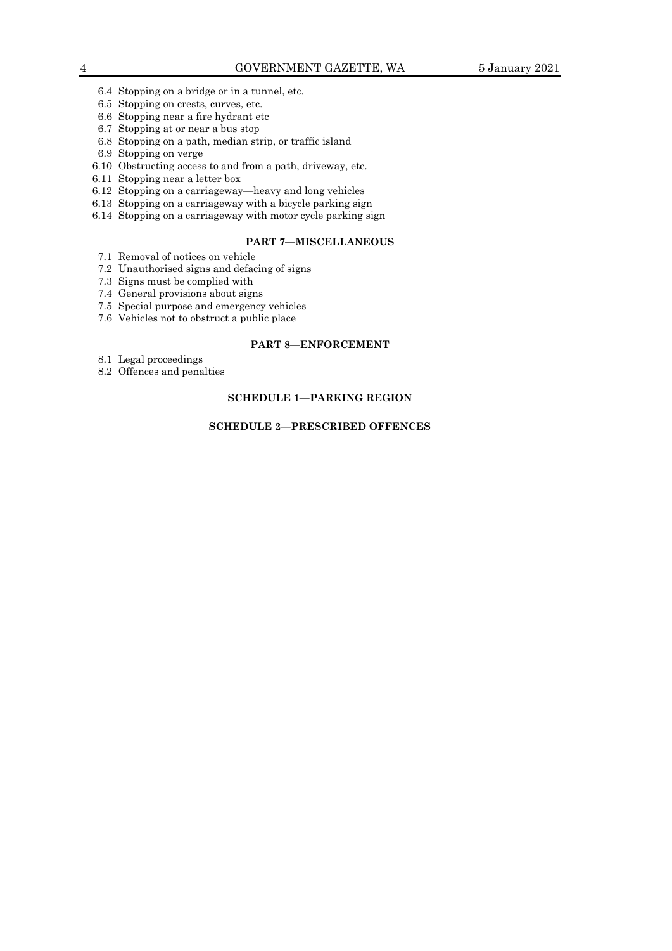- 6.4 Stopping on a bridge or in a tunnel, etc.
- 6.5 Stopping on crests, curves, etc.
- 6.6 Stopping near a fire hydrant etc
- 6.7 Stopping at or near a bus stop
- 6.8 Stopping on a path, median strip, or traffic island
- 6.9 Stopping on verge
- 6.10 Obstructing access to and from a path, driveway, etc.
- 6.11 Stopping near a letter box
- 6.12 Stopping on a carriageway—heavy and long vehicles
- 6.13 Stopping on a carriageway with a bicycle parking sign
- 6.14 Stopping on a carriageway with motor cycle parking sign

## **PART 7—MISCELLANEOUS**

- 7.1 Removal of notices on vehicle
- 7.2 Unauthorised signs and defacing of signs
- 7.3 Signs must be complied with
- 7.4 General provisions about signs
- 7.5 Special purpose and emergency vehicles
- 7.6 Vehicles not to obstruct a public place

## **PART 8—ENFORCEMENT**

- 8.1 Legal proceedings
- 8.2 Offences and penalties

## **SCHEDULE 1—PARKING REGION**

## **SCHEDULE 2—PRESCRIBED OFFENCES**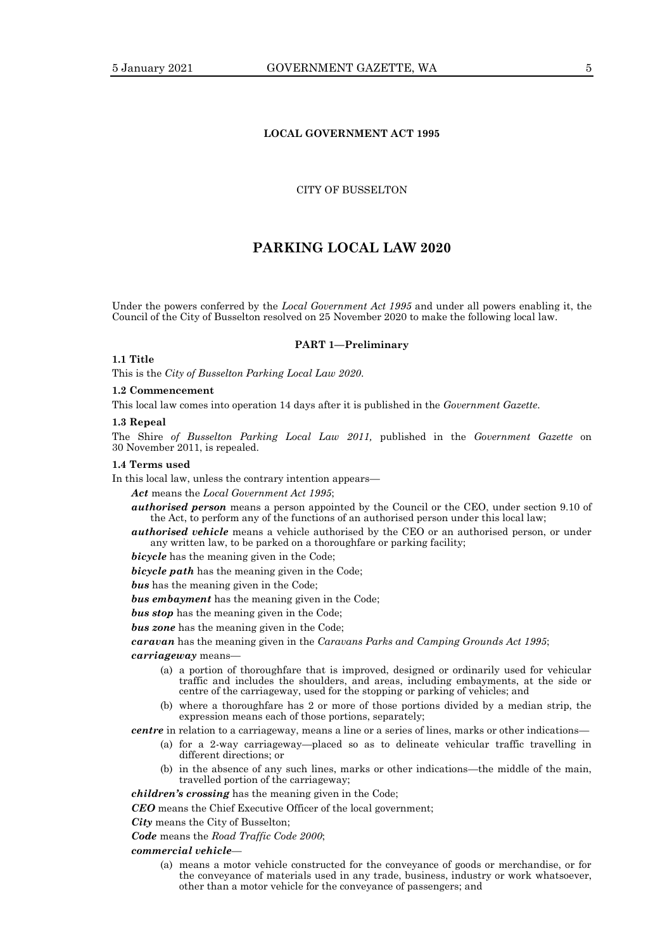## **LOCAL GOVERNMENT ACT 1995**

## CITY OF BUSSELTON

## **PARKING LOCAL LAW 2020**

Under the powers conferred by the *Local Government Act 1995* and under all powers enabling it, the Council of the City of Busselton resolved on 25 November 2020 to make the following local law.

#### **PART 1—Preliminary**

## **1.1 Title**

This is the *City of Busselton Parking Local Law 2020*.

#### **1.2 Commencement**

This local law comes into operation 14 days after it is published in the *Government Gazette*.

#### **1.3 Repeal**

The Shire *of Busselton Parking Local Law 2011,* published in the *Government Gazette* on 30 November 2011, is repealed.

#### **1.4 Terms used**

In this local law, unless the contrary intention appears—

*Act* means the *Local Government Act 1995*;

*authorised person* means a person appointed by the Council or the CEO, under section 9.10 of the Act, to perform any of the functions of an authorised person under this local law;

*authorised vehicle* means a vehicle authorised by the CEO or an authorised person, or under any written law, to be parked on a thoroughfare or parking facility;

*bicycle* has the meaning given in the Code;

*bicycle path* has the meaning given in the Code;

*bus* has the meaning given in the Code;

*bus embayment* has the meaning given in the Code;

*bus stop* has the meaning given in the Code;

*bus zone* has the meaning given in the Code;

*caravan* has the meaning given in the *Caravans Parks and Camping Grounds Act 1995*;

*carriageway* means—

- (a) a portion of thoroughfare that is improved, designed or ordinarily used for vehicular traffic and includes the shoulders, and areas, including embayments, at the side or centre of the carriageway, used for the stopping or parking of vehicles; and
- (b) where a thoroughfare has 2 or more of those portions divided by a median strip, the expression means each of those portions, separately;

*centre* in relation to a carriageway, means a line or a series of lines, marks or other indications—

- (a) for a 2-way carriageway—placed so as to delineate vehicular traffic travelling in different directions; or
- (b) in the absence of any such lines, marks or other indications—the middle of the main, travelled portion of the carriageway;

*children's crossing* has the meaning given in the Code;

*CEO* means the Chief Executive Officer of the local government;

*City* means the City of Busselton;

*Code* means the *Road Traffic Code 2000*;

*commercial vehicle*—

(a) means a motor vehicle constructed for the conveyance of goods or merchandise, or for the conveyance of materials used in any trade, business, industry or work whatsoever, other than a motor vehicle for the conveyance of passengers; and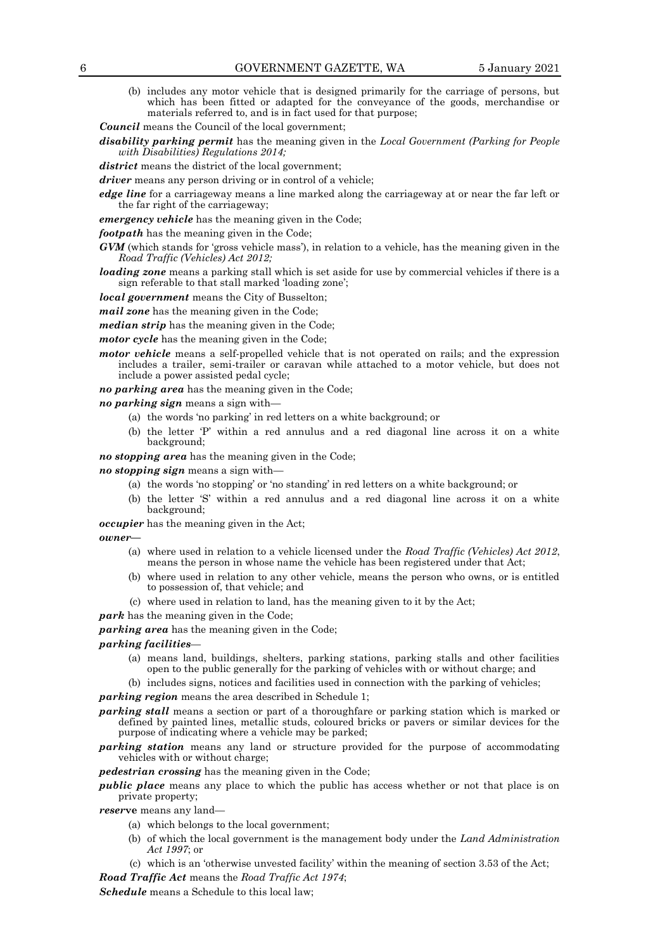(b) includes any motor vehicle that is designed primarily for the carriage of persons, but which has been fitted or adapted for the conveyance of the goods, merchandise or materials referred to, and is in fact used for that purpose;

*Council* means the Council of the local government;

*disability parking permit* has the meaning given in the *Local Government (Parking for People with Disabilities) Regulations 2014;*

*district* means the district of the local government;

*driver* means any person driving or in control of a vehicle;

*edge line* for a carriageway means a line marked along the carriageway at or near the far left or the far right of the carriageway;

*emergency vehicle* has the meaning given in the Code;

*footpath* has the meaning given in the Code;

*GVM* (which stands for 'gross vehicle mass'), in relation to a vehicle, has the meaning given in the *Road Traffic (Vehicles) Act 2012;*

*loading zone* means a parking stall which is set aside for use by commercial vehicles if there is a sign referable to that stall marked 'loading zone';

*local government* means the City of Busselton;

*mail zone* has the meaning given in the Code;

*median strip* has the meaning given in the Code;

*motor cycle* has the meaning given in the Code;

*motor vehicle* means a self-propelled vehicle that is not operated on rails; and the expression includes a trailer, semi-trailer or caravan while attached to a motor vehicle, but does not include a power assisted pedal cycle;

*no parking area* has the meaning given in the Code;

*no parking sign* means a sign with—

- (a) the words 'no parking' in red letters on a white background; or
- (b) the letter 'P' within a red annulus and a red diagonal line across it on a white background;

*no stopping area* has the meaning given in the Code;

*no stopping sign* means a sign with—

- (a) the words 'no stopping' or 'no standing' in red letters on a white background; or
- (b) the letter 'S' within a red annulus and a red diagonal line across it on a white background;

*occupier* has the meaning given in the Act;

#### *owner***—**

- (a) where used in relation to a vehicle licensed under the *Road Traffic (Vehicles) Act 2012*, means the person in whose name the vehicle has been registered under that Act;
- (b) where used in relation to any other vehicle, means the person who owns, or is entitled to possession of, that vehicle; and
- (c) where used in relation to land, has the meaning given to it by the Act;

*park* has the meaning given in the Code;

*parking area* has the meaning given in the Code;

*parking facilities*—

- (a) means land, buildings, shelters, parking stations, parking stalls and other facilities open to the public generally for the parking of vehicles with or without charge; and
- (b) includes signs, notices and facilities used in connection with the parking of vehicles;

*parking region* means the area described in Schedule 1;

- *parking stall* means a section or part of a thoroughfare or parking station which is marked or defined by painted lines, metallic studs, coloured bricks or pavers or similar devices for the purpose of indicating where a vehicle may be parked;
- *parking station* means any land or structure provided for the purpose of accommodating vehicles with or without charge;

*pedestrian crossing* has the meaning given in the Code;

*public place* means any place to which the public has access whether or not that place is on private property;

*reser***ve** means any land—

- (a) which belongs to the local government;
- (b) of which the local government is the management body under the *Land Administration Act 1997*; or
- (c) which is an 'otherwise unvested facility' within the meaning of section 3.53 of the Act;

*Road Traffic Act* means the *Road Traffic Act 1974*;

*Schedule* means a Schedule to this local law;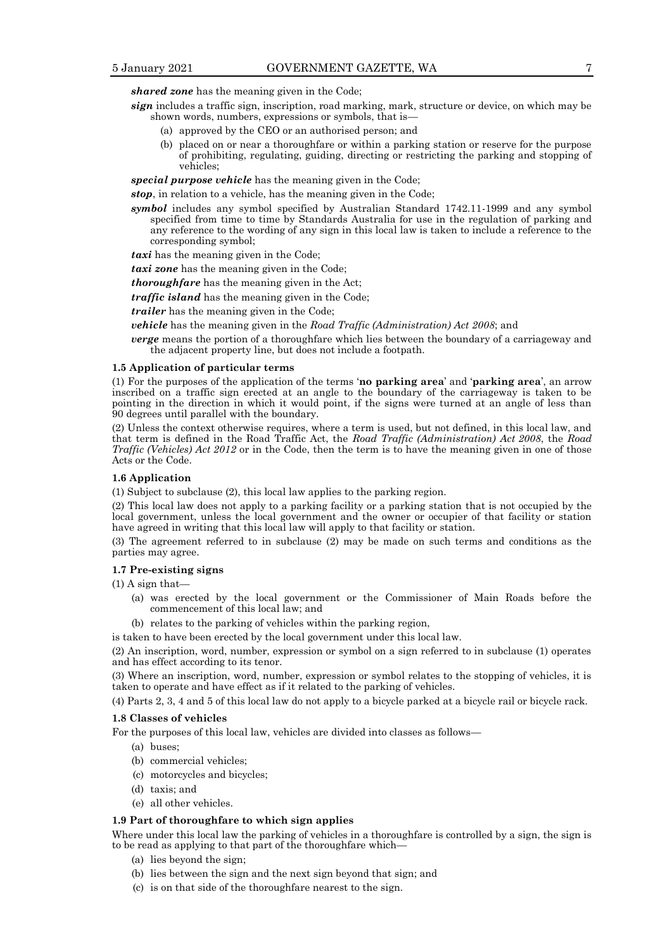*shared zone* has the meaning given in the Code;

- *sign* includes a traffic sign, inscription, road marking, mark, structure or device, on which may be shown words, numbers, expressions or symbols, that is—
	- (a) approved by the CEO or an authorised person; and
	- (b) placed on or near a thoroughfare or within a parking station or reserve for the purpose of prohibiting, regulating, guiding, directing or restricting the parking and stopping of vehicles;

*special purpose vehicle* has the meaning given in the Code;

*stop*, in relation to a vehicle, has the meaning given in the Code;

*symbol* includes any symbol specified by Australian Standard 1742.11-1999 and any symbol specified from time to time by Standards Australia for use in the regulation of parking and any reference to the wording of any sign in this local law is taken to include a reference to the corresponding symbol;

*taxi* has the meaning given in the Code;

*taxi zone* has the meaning given in the Code;

*thoroughfare* has the meaning given in the Act;

*traffic island* has the meaning given in the Code;

*trailer* has the meaning given in the Code;

*vehicle* has the meaning given in the *Road Traffic (Administration) Act 2008*; and

*verge* means the portion of a thoroughfare which lies between the boundary of a carriageway and the adjacent property line, but does not include a footpath.

#### **1.5 Application of particular terms**

(1) For the purposes of the application of the terms '**no parking area**' and '**parking area**', an arrow inscribed on a traffic sign erected at an angle to the boundary of the carriageway is taken to be pointing in the direction in which it would point, if the signs were turned at an angle of less than 90 degrees until parallel with the boundary.

(2) Unless the context otherwise requires, where a term is used, but not defined, in this local law, and that term is defined in the Road Traffic Act, the *Road Traffic (Administration) Act 2008*, the *Road Traffic (Vehicles) Act 2012* or in the Code, then the term is to have the meaning given in one of those Acts or the Code.

#### **1.6 Application**

(1) Subject to subclause (2), this local law applies to the parking region.

(2) This local law does not apply to a parking facility or a parking station that is not occupied by the local government, unless the local government and the owner or occupier of that facility or station have agreed in writing that this local law will apply to that facility or station.

(3) The agreement referred to in subclause (2) may be made on such terms and conditions as the parties may agree.

#### **1.7 Pre-existing signs**

(1) A sign that—

- (a) was erected by the local government or the Commissioner of Main Roads before the commencement of this local law; and
- (b) relates to the parking of vehicles within the parking region,

is taken to have been erected by the local government under this local law.

(2) An inscription, word, number, expression or symbol on a sign referred to in subclause (1) operates and has effect according to its tenor.

(3) Where an inscription, word, number, expression or symbol relates to the stopping of vehicles, it is taken to operate and have effect as if it related to the parking of vehicles.

(4) Parts 2, 3, 4 and 5 of this local law do not apply to a bicycle parked at a bicycle rail or bicycle rack.

#### **1.8 Classes of vehicles**

For the purposes of this local law, vehicles are divided into classes as follows—

- (a) buses;
- (b) commercial vehicles;
- (c) motorcycles and bicycles;
- (d) taxis; and
- (e) all other vehicles.

## **1.9 Part of thoroughfare to which sign applies**

Where under this local law the parking of vehicles in a thoroughfare is controlled by a sign, the sign is to be read as applying to that part of the thoroughfare which—

- (a) lies beyond the sign;
- (b) lies between the sign and the next sign beyond that sign; and
- (c) is on that side of the thoroughfare nearest to the sign.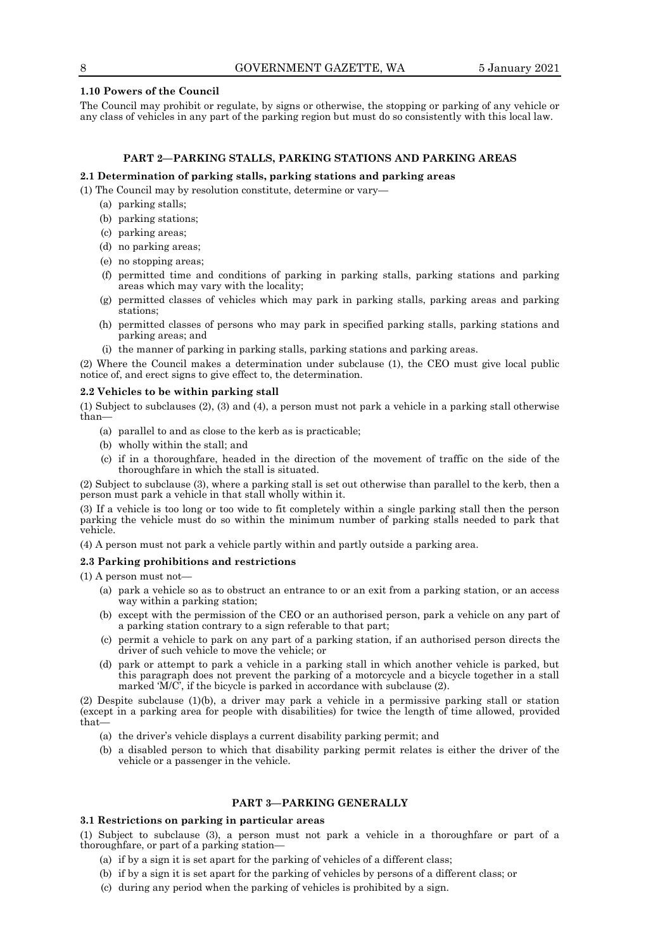#### **1.10 Powers of the Council**

The Council may prohibit or regulate, by signs or otherwise, the stopping or parking of any vehicle or any class of vehicles in any part of the parking region but must do so consistently with this local law.

## **PART 2—PARKING STALLS, PARKING STATIONS AND PARKING AREAS**

#### **2.1 Determination of parking stalls, parking stations and parking areas**

- (1) The Council may by resolution constitute, determine or vary—
	- (a) parking stalls;
	- (b) parking stations;
	- (c) parking areas;
	- (d) no parking areas;
	- (e) no stopping areas;
	- (f) permitted time and conditions of parking in parking stalls, parking stations and parking areas which may vary with the locality;
	- (g) permitted classes of vehicles which may park in parking stalls, parking areas and parking stations;
	- (h) permitted classes of persons who may park in specified parking stalls, parking stations and parking areas; and
	- (i) the manner of parking in parking stalls, parking stations and parking areas.

(2) Where the Council makes a determination under subclause (1), the CEO must give local public notice of, and erect signs to give effect to, the determination.

#### **2.2 Vehicles to be within parking stall**

(1) Subject to subclauses (2), (3) and (4), a person must not park a vehicle in a parking stall otherwise than—

- (a) parallel to and as close to the kerb as is practicable;
- (b) wholly within the stall; and
- (c) if in a thoroughfare, headed in the direction of the movement of traffic on the side of the thoroughfare in which the stall is situated.

(2) Subject to subclause (3), where a parking stall is set out otherwise than parallel to the kerb, then a person must park a vehicle in that stall wholly within it.

(3) If a vehicle is too long or too wide to fit completely within a single parking stall then the person parking the vehicle must do so within the minimum number of parking stalls needed to park that vehicle.

(4) A person must not park a vehicle partly within and partly outside a parking area.

## **2.3 Parking prohibitions and restrictions**

(1) A person must not—

- (a) park a vehicle so as to obstruct an entrance to or an exit from a parking station, or an access way within a parking station;
- (b) except with the permission of the CEO or an authorised person, park a vehicle on any part of a parking station contrary to a sign referable to that part;
- (c) permit a vehicle to park on any part of a parking station, if an authorised person directs the driver of such vehicle to move the vehicle; or
- (d) park or attempt to park a vehicle in a parking stall in which another vehicle is parked, but this paragraph does not prevent the parking of a motorcycle and a bicycle together in a stall marked 'M/C', if the bicycle is parked in accordance with subclause (2).

(2) Despite subclause (1)(b), a driver may park a vehicle in a permissive parking stall or station (except in a parking area for people with disabilities) for twice the length of time allowed, provided that—

- (a) the driver's vehicle displays a current disability parking permit; and
- (b) a disabled person to which that disability parking permit relates is either the driver of the vehicle or a passenger in the vehicle.

## **PART 3—PARKING GENERALLY**

## **3.1 Restrictions on parking in particular areas**

(1) Subject to subclause (3), a person must not park a vehicle in a thoroughfare or part of a thoroughfare, or part of a parking station—

- (a) if by a sign it is set apart for the parking of vehicles of a different class;
- (b) if by a sign it is set apart for the parking of vehicles by persons of a different class; or
- (c) during any period when the parking of vehicles is prohibited by a sign.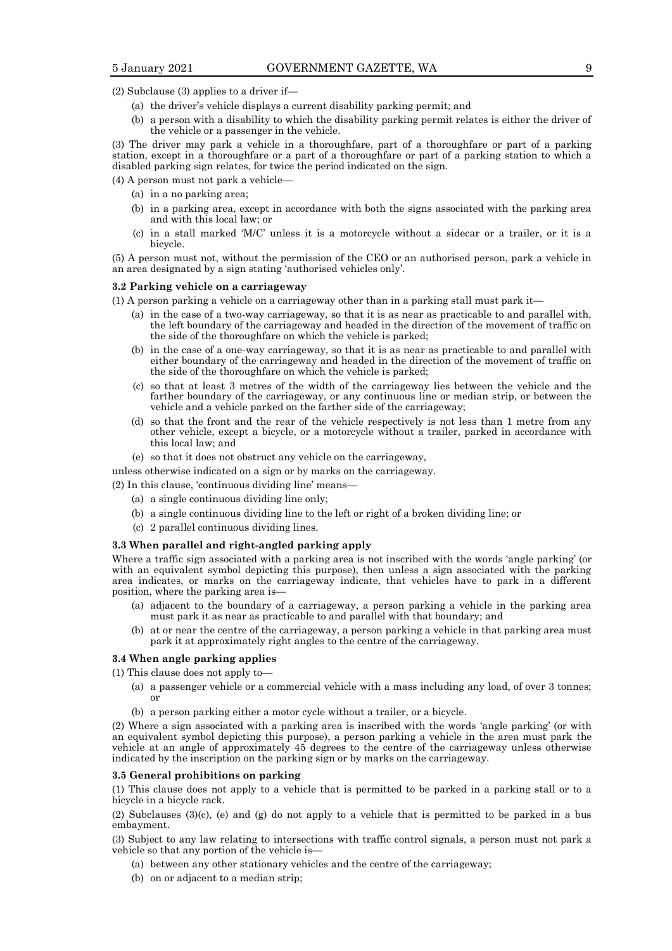(2) Subclause (3) applies to a driver if—

- (a) the driver's vehicle displays a current disability parking permit; and
- (b) a person with a disability to which the disability parking permit relates is either the driver of the vehicle or a passenger in the vehicle.

(3) The driver may park a vehicle in a thoroughfare, part of a thoroughfare or part of a parking station, except in a thoroughfare or a part of a thoroughfare or part of a parking station to which a disabled parking sign relates, for twice the period indicated on the sign.

(4) A person must not park a vehicle—

- (a) in a no parking area;
- (b) in a parking area, except in accordance with both the signs associated with the parking area and with this local law; or
- (c) in a stall marked 'M/C' unless it is a motorcycle without a sidecar or a trailer, or it is a bicycle.

(5) A person must not, without the permission of the CEO or an authorised person, park a vehicle in an area designated by a sign stating 'authorised vehicles only'.

#### **3.2 Parking vehicle on a carriageway**

(1) A person parking a vehicle on a carriageway other than in a parking stall must park it—

- (a) in the case of a two-way carriageway, so that it is as near as practicable to and parallel with, the left boundary of the carriageway and headed in the direction of the movement of traffic on the side of the thoroughfare on which the vehicle is parked;
- (b) in the case of a one-way carriageway, so that it is as near as practicable to and parallel with either boundary of the carriageway and headed in the direction of the movement of traffic on the side of the thoroughfare on which the vehicle is parked;
- (c) so that at least 3 metres of the width of the carriageway lies between the vehicle and the farther boundary of the carriageway, or any continuous line or median strip, or between the vehicle and a vehicle parked on the farther side of the carriageway;
- (d) so that the front and the rear of the vehicle respectively is not less than 1 metre from any other vehicle, except a bicycle, or a motorcycle without a trailer, parked in accordance with this local law; and
- (e) so that it does not obstruct any vehicle on the carriageway,

unless otherwise indicated on a sign or by marks on the carriageway.

(2) In this clause, 'continuous dividing line' means—

- (a) a single continuous dividing line only;
- (b) a single continuous dividing line to the left or right of a broken dividing line; or
- (c) 2 parallel continuous dividing lines.

#### **3.3 When parallel and right-angled parking apply**

Where a traffic sign associated with a parking area is not inscribed with the words 'angle parking' (or with an equivalent symbol depicting this purpose), then unless a sign associated with the parking area indicates, or marks on the carriageway indicate, that vehicles have to park in a different position, where the parking area is—

- (a) adjacent to the boundary of a carriageway, a person parking a vehicle in the parking area must park it as near as practicable to and parallel with that boundary; and
- (b) at or near the centre of the carriageway, a person parking a vehicle in that parking area must park it at approximately right angles to the centre of the carriageway.

#### **3.4 When angle parking applies**

(1) This clause does not apply to—

- (a) a passenger vehicle or a commercial vehicle with a mass including any load, of over 3 tonnes; or
- (b) a person parking either a motor cycle without a trailer, or a bicycle.

(2) Where a sign associated with a parking area is inscribed with the words 'angle parking' (or with an equivalent symbol depicting this purpose), a person parking a vehicle in the area must park the vehicle at an angle of approximately 45 degrees to the centre of the carriageway unless otherwise indicated by the inscription on the parking sign or by marks on the carriageway.

#### **3.5 General prohibitions on parking**

(1) This clause does not apply to a vehicle that is permitted to be parked in a parking stall or to a bicycle in a bicycle rack.

(2) Subclauses (3)(c), (e) and (g) do not apply to a vehicle that is permitted to be parked in a bus embayment.

(3) Subject to any law relating to intersections with traffic control signals, a person must not park a vehicle so that any portion of the vehicle is—

- (a) between any other stationary vehicles and the centre of the carriageway;
- (b) on or adjacent to a median strip;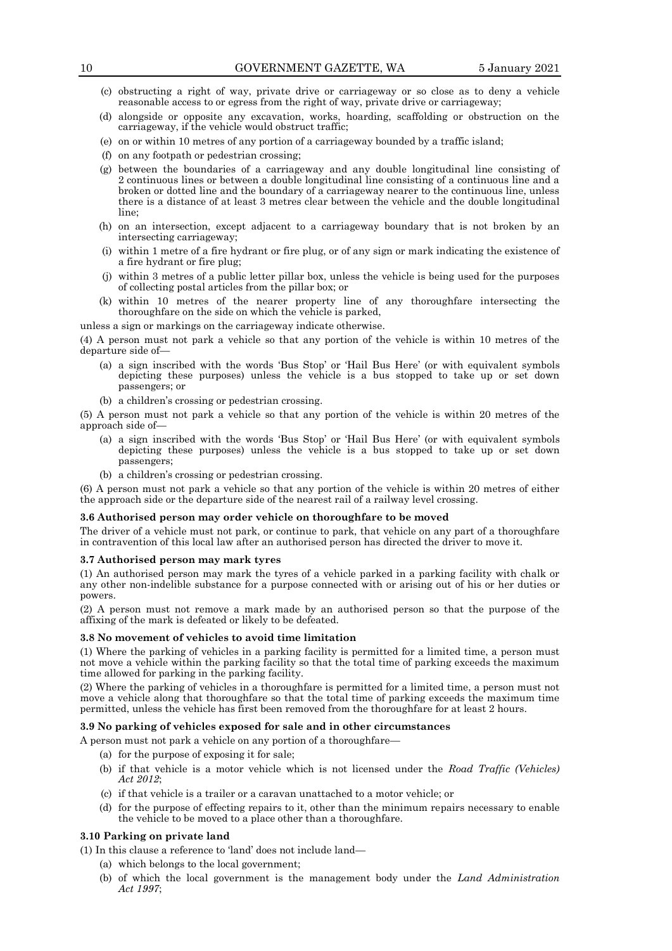- (c) obstructing a right of way, private drive or carriageway or so close as to deny a vehicle reasonable access to or egress from the right of way, private drive or carriageway;
- (d) alongside or opposite any excavation, works, hoarding, scaffolding or obstruction on the carriageway, if the vehicle would obstruct traffic;
- (e) on or within 10 metres of any portion of a carriageway bounded by a traffic island;
- (f) on any footpath or pedestrian crossing;
- (g) between the boundaries of a carriageway and any double longitudinal line consisting of 2 continuous lines or between a double longitudinal line consisting of a continuous line and a broken or dotted line and the boundary of a carriageway nearer to the continuous line, unless there is a distance of at least 3 metres clear between the vehicle and the double longitudinal line;
- (h) on an intersection, except adjacent to a carriageway boundary that is not broken by an intersecting carriageway;
- (i) within 1 metre of a fire hydrant or fire plug, or of any sign or mark indicating the existence of a fire hydrant or fire plug;
- (j) within 3 metres of a public letter pillar box, unless the vehicle is being used for the purposes of collecting postal articles from the pillar box; or
- (k) within 10 metres of the nearer property line of any thoroughfare intersecting the thoroughfare on the side on which the vehicle is parked,

unless a sign or markings on the carriageway indicate otherwise.

(4) A person must not park a vehicle so that any portion of the vehicle is within 10 metres of the departure side of—

- (a) a sign inscribed with the words 'Bus Stop' or 'Hail Bus Here' (or with equivalent symbols depicting these purposes) unless the vehicle is a bus stopped to take up or set down passengers; or
- (b) a children's crossing or pedestrian crossing.

(5) A person must not park a vehicle so that any portion of the vehicle is within 20 metres of the approach side of—

- (a) a sign inscribed with the words 'Bus Stop' or 'Hail Bus Here' (or with equivalent symbols depicting these purposes) unless the vehicle is a bus stopped to take up or set down passengers;
- (b) a children's crossing or pedestrian crossing.

(6) A person must not park a vehicle so that any portion of the vehicle is within 20 metres of either the approach side or the departure side of the nearest rail of a railway level crossing.

## **3.6 Authorised person may order vehicle on thoroughfare to be moved**

The driver of a vehicle must not park, or continue to park, that vehicle on any part of a thoroughfare in contravention of this local law after an authorised person has directed the driver to move it.

#### **3.7 Authorised person may mark tyres**

(1) An authorised person may mark the tyres of a vehicle parked in a parking facility with chalk or any other non-indelible substance for a purpose connected with or arising out of his or her duties or powers.

(2) A person must not remove a mark made by an authorised person so that the purpose of the affixing of the mark is defeated or likely to be defeated.

## **3.8 No movement of vehicles to avoid time limitation**

(1) Where the parking of vehicles in a parking facility is permitted for a limited time, a person must not move a vehicle within the parking facility so that the total time of parking exceeds the maximum time allowed for parking in the parking facility.

(2) Where the parking of vehicles in a thoroughfare is permitted for a limited time, a person must not move a vehicle along that thoroughfare so that the total time of parking exceeds the maximum time permitted, unless the vehicle has first been removed from the thoroughfare for at least 2 hours.

#### **3.9 No parking of vehicles exposed for sale and in other circumstances**

A person must not park a vehicle on any portion of a thoroughfare—

- (a) for the purpose of exposing it for sale;
- (b) if that vehicle is a motor vehicle which is not licensed under the *Road Traffic (Vehicles) Act 2012*;
- (c) if that vehicle is a trailer or a caravan unattached to a motor vehicle; or
- (d) for the purpose of effecting repairs to it, other than the minimum repairs necessary to enable the vehicle to be moved to a place other than a thoroughfare.

#### **3.10 Parking on private land**

(1) In this clause a reference to 'land' does not include land—

- (a) which belongs to the local government;
- (b) of which the local government is the management body under the *Land Administration Act 1997*;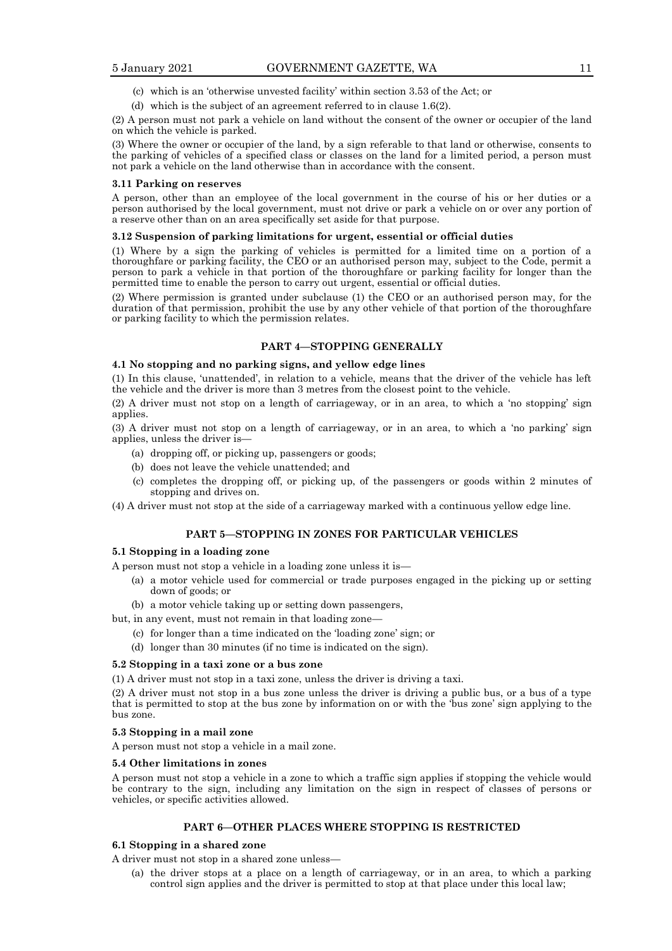- (c) which is an 'otherwise unvested facility' within section 3.53 of the Act; or
- (d) which is the subject of an agreement referred to in clause 1.6(2).

(2) A person must not park a vehicle on land without the consent of the owner or occupier of the land on which the vehicle is parked.

(3) Where the owner or occupier of the land, by a sign referable to that land or otherwise, consents to the parking of vehicles of a specified class or classes on the land for a limited period, a person must not park a vehicle on the land otherwise than in accordance with the consent.

#### **3.11 Parking on reserves**

A person, other than an employee of the local government in the course of his or her duties or a person authorised by the local government, must not drive or park a vehicle on or over any portion of a reserve other than on an area specifically set aside for that purpose.

#### **3.12 Suspension of parking limitations for urgent, essential or official duties**

(1) Where by a sign the parking of vehicles is permitted for a limited time on a portion of a thoroughfare or parking facility, the CEO or an authorised person may, subject to the Code, permit a person to park a vehicle in that portion of the thoroughfare or parking facility for longer than the permitted time to enable the person to carry out urgent, essential or official duties.

(2) Where permission is granted under subclause (1) the CEO or an authorised person may, for the duration of that permission, prohibit the use by any other vehicle of that portion of the thoroughfare or parking facility to which the permission relates.

#### **PART 4—STOPPING GENERALLY**

## **4.1 No stopping and no parking signs, and yellow edge lines**

(1) In this clause, 'unattended', in relation to a vehicle, means that the driver of the vehicle has left the vehicle and the driver is more than 3 metres from the closest point to the vehicle.

(2) A driver must not stop on a length of carriageway, or in an area, to which a 'no stopping' sign applies.

(3) A driver must not stop on a length of carriageway, or in an area, to which a 'no parking' sign applies, unless the driver is—

- (a) dropping off, or picking up, passengers or goods;
- (b) does not leave the vehicle unattended; and
- (c) completes the dropping off, or picking up, of the passengers or goods within 2 minutes of stopping and drives on.

(4) A driver must not stop at the side of a carriageway marked with a continuous yellow edge line.

## **PART 5—STOPPING IN ZONES FOR PARTICULAR VEHICLES**

## **5.1 Stopping in a loading zone**

A person must not stop a vehicle in a loading zone unless it is—

- (a) a motor vehicle used for commercial or trade purposes engaged in the picking up or setting down of goods; or
- (b) a motor vehicle taking up or setting down passengers,

but, in any event, must not remain in that loading zone—

- (c) for longer than a time indicated on the 'loading zone' sign; or
- (d) longer than 30 minutes (if no time is indicated on the sign).

#### **5.2 Stopping in a taxi zone or a bus zone**

(1) A driver must not stop in a taxi zone, unless the driver is driving a taxi.

(2) A driver must not stop in a bus zone unless the driver is driving a public bus, or a bus of a type that is permitted to stop at the bus zone by information on or with the 'bus zone' sign applying to the bus zone.

#### **5.3 Stopping in a mail zone**

A person must not stop a vehicle in a mail zone.

#### **5.4 Other limitations in zones**

A person must not stop a vehicle in a zone to which a traffic sign applies if stopping the vehicle would be contrary to the sign, including any limitation on the sign in respect of classes of persons or vehicles, or specific activities allowed.

#### **PART 6—OTHER PLACES WHERE STOPPING IS RESTRICTED**

#### **6.1 Stopping in a shared zone**

A driver must not stop in a shared zone unless—

(a) the driver stops at a place on a length of carriageway, or in an area, to which a parking control sign applies and the driver is permitted to stop at that place under this local law;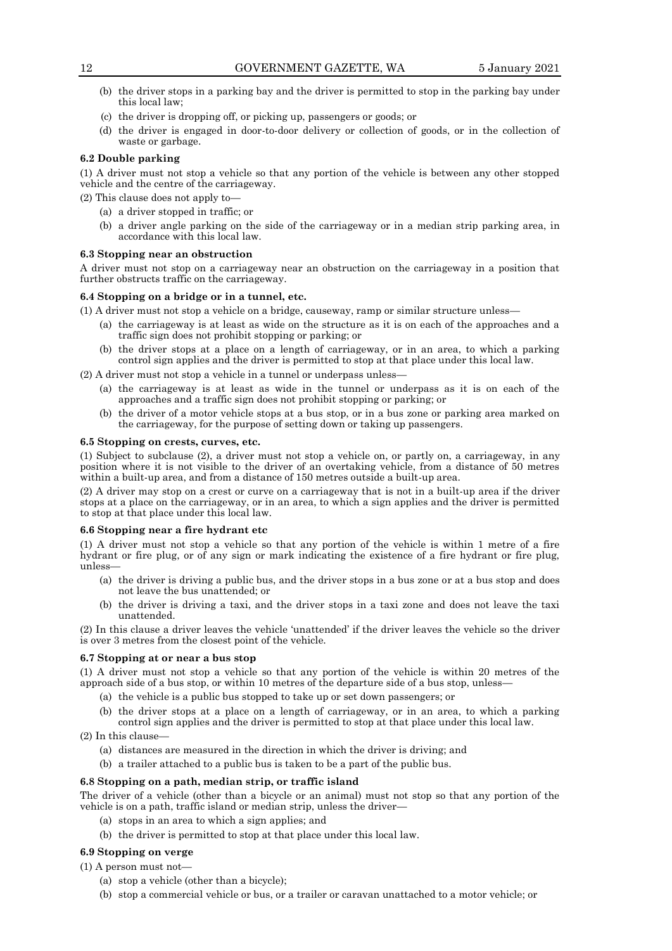- (b) the driver stops in a parking bay and the driver is permitted to stop in the parking bay under this local law;
- (c) the driver is dropping off, or picking up, passengers or goods; or
- (d) the driver is engaged in door-to-door delivery or collection of goods, or in the collection of waste or garbage.

## **6.2 Double parking**

(1) A driver must not stop a vehicle so that any portion of the vehicle is between any other stopped vehicle and the centre of the carriageway.

(2) This clause does not apply to—

- (a) a driver stopped in traffic; or
- (b) a driver angle parking on the side of the carriageway or in a median strip parking area, in accordance with this local law.

#### **6.3 Stopping near an obstruction**

A driver must not stop on a carriageway near an obstruction on the carriageway in a position that further obstructs traffic on the carriageway.

## **6.4 Stopping on a bridge or in a tunnel, etc.**

- (1) A driver must not stop a vehicle on a bridge, causeway, ramp or similar structure unless—
	- (a) the carriageway is at least as wide on the structure as it is on each of the approaches and a traffic sign does not prohibit stopping or parking; or
	- (b) the driver stops at a place on a length of carriageway, or in an area, to which a parking control sign applies and the driver is permitted to stop at that place under this local law.
- (2) A driver must not stop a vehicle in a tunnel or underpass unless—
	- (a) the carriageway is at least as wide in the tunnel or underpass as it is on each of the approaches and a traffic sign does not prohibit stopping or parking; or
	- (b) the driver of a motor vehicle stops at a bus stop, or in a bus zone or parking area marked on the carriageway, for the purpose of setting down or taking up passengers.

#### **6.5 Stopping on crests, curves, etc.**

(1) Subject to subclause (2), a driver must not stop a vehicle on, or partly on, a carriageway, in any position where it is not visible to the driver of an overtaking vehicle, from a distance of 50 metres within a built-up area, and from a distance of 150 metres outside a built-up area.

(2) A driver may stop on a crest or curve on a carriageway that is not in a built-up area if the driver stops at a place on the carriageway, or in an area, to which a sign applies and the driver is permitted to stop at that place under this local law.

## **6.6 Stopping near a fire hydrant etc**

(1) A driver must not stop a vehicle so that any portion of the vehicle is within 1 metre of a fire hydrant or fire plug, or of any sign or mark indicating the existence of a fire hydrant or fire plug, unless—

- (a) the driver is driving a public bus, and the driver stops in a bus zone or at a bus stop and does not leave the bus unattended; or
- (b) the driver is driving a taxi, and the driver stops in a taxi zone and does not leave the taxi unattended.

(2) In this clause a driver leaves the vehicle 'unattended' if the driver leaves the vehicle so the driver is over 3 metres from the closest point of the vehicle.

#### **6.7 Stopping at or near a bus stop**

(1) A driver must not stop a vehicle so that any portion of the vehicle is within 20 metres of the approach side of a bus stop, or within 10 metres of the departure side of a bus stop, unless—

- (a) the vehicle is a public bus stopped to take up or set down passengers; or
- (b) the driver stops at a place on a length of carriageway, or in an area, to which a parking control sign applies and the driver is permitted to stop at that place under this local law.

(2) In this clause—

- (a) distances are measured in the direction in which the driver is driving; and
- (b) a trailer attached to a public bus is taken to be a part of the public bus.

## **6.8 Stopping on a path, median strip, or traffic island**

The driver of a vehicle (other than a bicycle or an animal) must not stop so that any portion of the vehicle is on a path, traffic island or median strip, unless the driver—

- (a) stops in an area to which a sign applies; and
- (b) the driver is permitted to stop at that place under this local law.

## **6.9 Stopping on verge**

## (1) A person must not—

- (a) stop a vehicle (other than a bicycle);
- (b) stop a commercial vehicle or bus, or a trailer or caravan unattached to a motor vehicle; or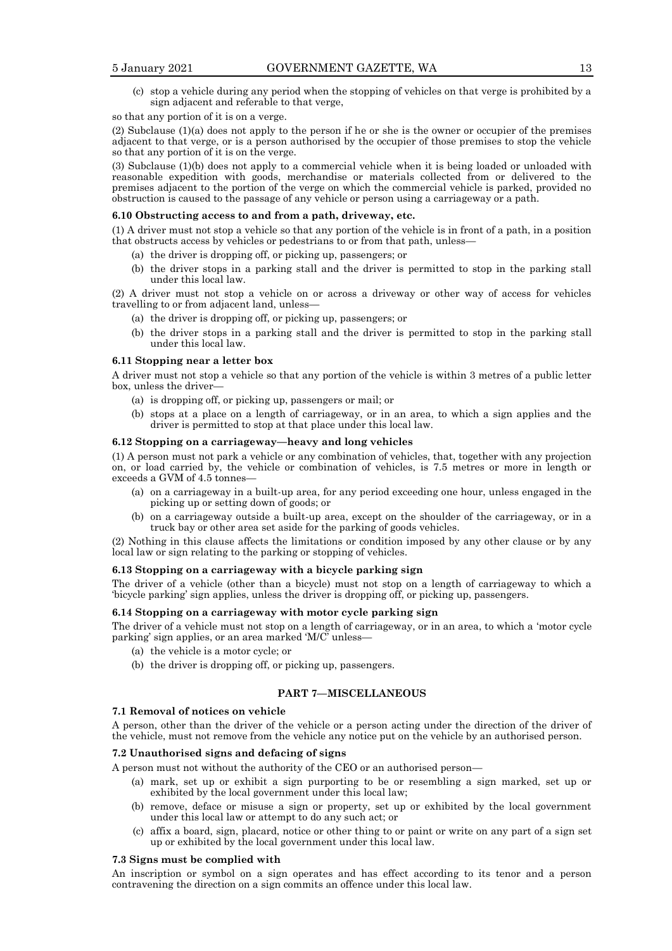(c) stop a vehicle during any period when the stopping of vehicles on that verge is prohibited by a sign adjacent and referable to that verge,

#### so that any portion of it is on a verge.

(2) Subclause (1)(a) does not apply to the person if he or she is the owner or occupier of the premises adjacent to that verge, or is a person authorised by the occupier of those premises to stop the vehicle so that any portion of it is on the verge.

(3) Subclause (1)(b) does not apply to a commercial vehicle when it is being loaded or unloaded with reasonable expedition with goods, merchandise or materials collected from or delivered to the premises adjacent to the portion of the verge on which the commercial vehicle is parked, provided no obstruction is caused to the passage of any vehicle or person using a carriageway or a path.

## **6.10 Obstructing access to and from a path, driveway, etc.**

(1) A driver must not stop a vehicle so that any portion of the vehicle is in front of a path, in a position that obstructs access by vehicles or pedestrians to or from that path, unless—

- (a) the driver is dropping off, or picking up, passengers; or
- (b) the driver stops in a parking stall and the driver is permitted to stop in the parking stall under this local law.

(2) A driver must not stop a vehicle on or across a driveway or other way of access for vehicles travelling to or from adjacent land, unless—

- (a) the driver is dropping off, or picking up, passengers; or
- (b) the driver stops in a parking stall and the driver is permitted to stop in the parking stall under this local law.

#### **6.11 Stopping near a letter box**

A driver must not stop a vehicle so that any portion of the vehicle is within 3 metres of a public letter box, unless the driver—

- (a) is dropping off, or picking up, passengers or mail; or
- (b) stops at a place on a length of carriageway, or in an area, to which a sign applies and the driver is permitted to stop at that place under this local law.

#### **6.12 Stopping on a carriageway—heavy and long vehicles**

(1) A person must not park a vehicle or any combination of vehicles, that, together with any projection on, or load carried by, the vehicle or combination of vehicles, is 7.5 metres or more in length or exceeds a GVM of 4.5 tonnes-

- (a) on a carriageway in a built-up area, for any period exceeding one hour, unless engaged in the picking up or setting down of goods; or
- (b) on a carriageway outside a built-up area, except on the shoulder of the carriageway, or in a truck bay or other area set aside for the parking of goods vehicles.

(2) Nothing in this clause affects the limitations or condition imposed by any other clause or by any local law or sign relating to the parking or stopping of vehicles.

#### **6.13 Stopping on a carriageway with a bicycle parking sign**

The driver of a vehicle (other than a bicycle) must not stop on a length of carriageway to which a 'bicycle parking' sign applies, unless the driver is dropping off, or picking up, passengers.

## **6.14 Stopping on a carriageway with motor cycle parking sign**

The driver of a vehicle must not stop on a length of carriageway, or in an area, to which a 'motor cycle parking' sign applies, or an area marked 'M/C' unless-

- (a) the vehicle is a motor cycle; or
- (b) the driver is dropping off, or picking up, passengers.

#### **PART 7—MISCELLANEOUS**

## **7.1 Removal of notices on vehicle**

A person, other than the driver of the vehicle or a person acting under the direction of the driver of the vehicle, must not remove from the vehicle any notice put on the vehicle by an authorised person.

## **7.2 Unauthorised signs and defacing of signs**

A person must not without the authority of the CEO or an authorised person—

- (a) mark, set up or exhibit a sign purporting to be or resembling a sign marked, set up or exhibited by the local government under this local law;
- (b) remove, deface or misuse a sign or property, set up or exhibited by the local government under this local law or attempt to do any such act; or
- (c) affix a board, sign, placard, notice or other thing to or paint or write on any part of a sign set up or exhibited by the local government under this local law.

#### **7.3 Signs must be complied with**

An inscription or symbol on a sign operates and has effect according to its tenor and a person contravening the direction on a sign commits an offence under this local law.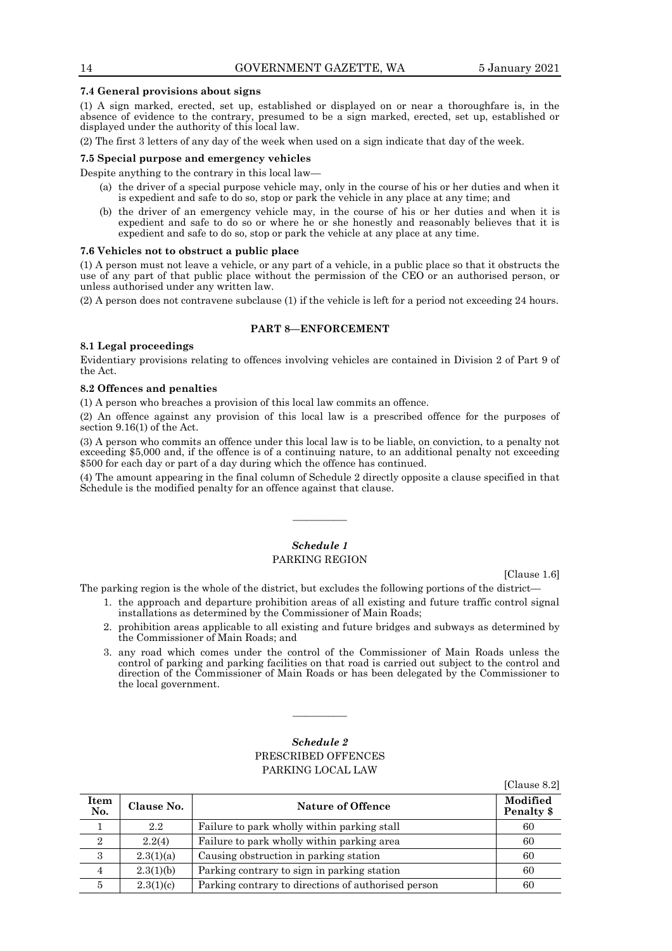## 14 GOVERNMENT GAZETTE, WA 5 January 2021

#### **7.4 General provisions about signs**

(1) A sign marked, erected, set up, established or displayed on or near a thoroughfare is, in the absence of evidence to the contrary, presumed to be a sign marked, erected, set up, established or displayed under the authority of this local law.

(2) The first 3 letters of any day of the week when used on a sign indicate that day of the week.

#### **7.5 Special purpose and emergency vehicles**

Despite anything to the contrary in this local law—

- (a) the driver of a special purpose vehicle may, only in the course of his or her duties and when it is expedient and safe to do so, stop or park the vehicle in any place at any time; and
- (b) the driver of an emergency vehicle may, in the course of his or her duties and when it is expedient and safe to do so or where he or she honestly and reasonably believes that it is expedient and safe to do so, stop or park the vehicle at any place at any time.

#### **7.6 Vehicles not to obstruct a public place**

(1) A person must not leave a vehicle, or any part of a vehicle, in a public place so that it obstructs the use of any part of that public place without the permission of the CEO or an authorised person, or unless authorised under any written law.

(2) A person does not contravene subclause (1) if the vehicle is left for a period not exceeding 24 hours.

## **PART 8—ENFORCEMENT**

#### **8.1 Legal proceedings**

Evidentiary provisions relating to offences involving vehicles are contained in Division 2 of Part 9 of the Act.

#### **8.2 Offences and penalties**

(1) A person who breaches a provision of this local law commits an offence.

(2) An offence against any provision of this local law is a prescribed offence for the purposes of section 9.16(1) of the Act.

(3) A person who commits an offence under this local law is to be liable, on conviction, to a penalty not exceeding \$5,000 and, if the offence is of a continuing nature, to an additional penalty not exceeding \$500 for each day or part of a day during which the offence has continued.

(4) The amount appearing in the final column of Schedule 2 directly opposite a clause specified in that Schedule is the modified penalty for an offence against that clause.

## *Schedule 1* PARKING REGION

————

[Clause 1.6]

The parking region is the whole of the district, but excludes the following portions of the district—

- 1. the approach and departure prohibition areas of all existing and future traffic control signal installations as determined by the Commissioner of Main Roads;
- 2. prohibition areas applicable to all existing and future bridges and subways as determined by the Commissioner of Main Roads; and
- 3. any road which comes under the control of the Commissioner of Main Roads unless the control of parking and parking facilities on that road is carried out subject to the control and direction of the Commissioner of Main Roads or has been delegated by the Commissioner to the local government.

## *Schedule 2* PRESCRIBED OFFENCES PARKING LOCAL LAW

————

|                    |            |                                                     | [Clause 8.2]           |
|--------------------|------------|-----------------------------------------------------|------------------------|
| <b>Item</b><br>No. | Clause No. | <b>Nature of Offence</b>                            | Modified<br>Penalty \$ |
|                    | 2.2        | Failure to park wholly within parking stall         | 60                     |
| $\overline{2}$     | 2.2(4)     | Failure to park wholly within parking area          | 60                     |
| 3                  | 2.3(1)(a)  | Causing obstruction in parking station              | 60                     |
| 4                  | 2.3(1)(b)  | Parking contrary to sign in parking station         | 60                     |
| 5                  | 2.3(1)(c)  | Parking contrary to directions of authorised person | 60                     |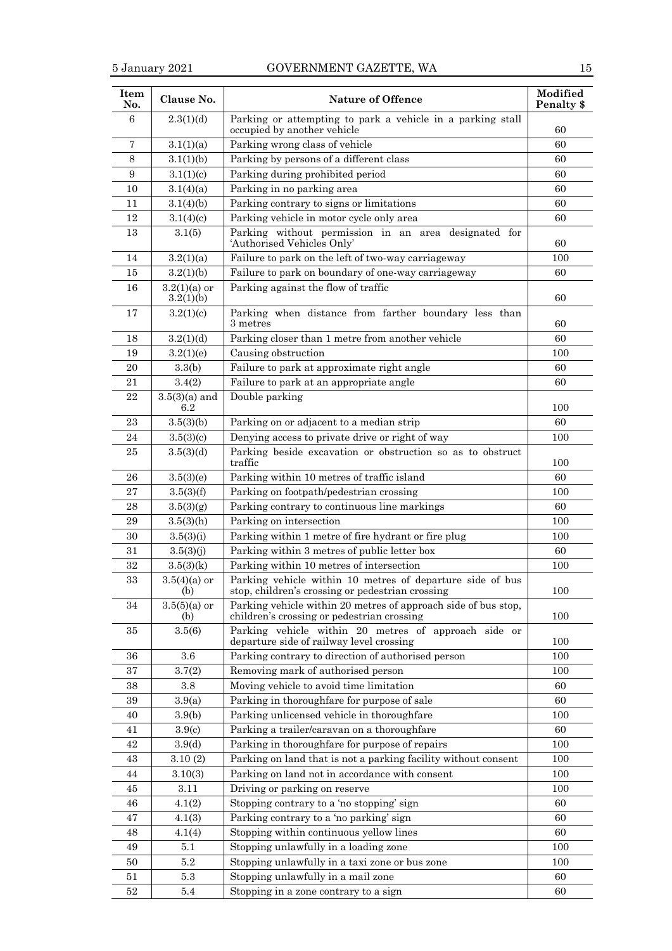| Item<br>No.    | Clause No.                  | <b>Nature of Offence</b>                                                                                      | Modified<br>Penalty \$ |
|----------------|-----------------------------|---------------------------------------------------------------------------------------------------------------|------------------------|
| 6              | 2.3(1)(d)                   | Parking or attempting to park a vehicle in a parking stall<br>occupied by another vehicle                     | 60                     |
| $\overline{7}$ | 3.1(1)(a)                   | Parking wrong class of vehicle                                                                                | 60                     |
| 8              | 3.1(1)(b)                   | Parking by persons of a different class                                                                       | 60                     |
| 9              | 3.1(1)(c)                   | Parking during prohibited period                                                                              | 60                     |
| 10             | 3.1(4)(a)                   | Parking in no parking area                                                                                    | 60                     |
| 11             | 3.1(4)(b)                   | Parking contrary to signs or limitations                                                                      | 60                     |
| 12             | 3.1(4)(c)                   | Parking vehicle in motor cycle only area                                                                      | 60                     |
| 13             | 3.1(5)                      | Parking without permission in an area designated for<br>'Authorised Vehicles Only'                            | 60                     |
| 14             | 3.2(1)(a)                   | Failure to park on the left of two-way carriageway                                                            | 100                    |
| 15             | 3.2(1)(b)                   | Failure to park on boundary of one-way carriageway                                                            | 60                     |
| 16             | $3.2(1)(a)$ or<br>3.2(1)(b) | Parking against the flow of traffic                                                                           | 60                     |
| 17             | 3.2(1)(c)                   | Parking when distance from farther boundary less than<br>$3$ metres                                           | 60                     |
| 18             | 3.2(1)(d)                   | Parking closer than 1 metre from another vehicle                                                              | 60                     |
| 19             | 3.2(1)(e)                   | Causing obstruction                                                                                           | 100                    |
| 20             | 3.3(b)                      | Failure to park at approximate right angle                                                                    | 60                     |
| 21             | 3.4(2)                      | Failure to park at an appropriate angle                                                                       | 60                     |
| $\bf{22}$      | $3.5(3)(a)$ and<br>6.2      | Double parking                                                                                                | 100                    |
| 23             | 3.5(3)(b)                   | Parking on or adjacent to a median strip                                                                      | 60                     |
| 24             | 3.5(3)(c)                   | Denying access to private drive or right of way                                                               | 100                    |
| 25             | 3.5(3)(d)                   | Parking beside excavation or obstruction so as to obstruct<br>traffic                                         | 100                    |
| 26             | 3.5(3)(e)                   | Parking within 10 metres of traffic island                                                                    | 60                     |
| 27             | 3.5(3)(f)                   | Parking on footpath/pedestrian crossing                                                                       | 100                    |
| 28             | 3.5(3)(g)                   | Parking contrary to continuous line markings                                                                  | 60                     |
| 29             | 3.5(3)(h)                   | Parking on intersection                                                                                       | 100                    |
| 30             | 3.5(3)(i)                   | Parking within 1 metre of fire hydrant or fire plug                                                           | 100                    |
| 31             | 3.5(3)(j)                   | Parking within 3 metres of public letter box                                                                  | 60                     |
| 32             | 3.5(3)(k)                   | Parking within 10 metres of intersection                                                                      | 100                    |
| 33             | $3.5(4)(a)$ or<br>(b)       | Parking vehicle within 10 metres of departure side of bus<br>stop, children's crossing or pedestrian crossing | 100                    |
| 34             | $3.5(5)(a)$ or<br>(b)       | Parking vehicle within 20 metres of approach side of bus stop,<br>children's crossing or pedestrian crossing  | 100                    |
| 35             | 3.5(6)                      | Parking vehicle within 20 metres of approach side or<br>departure side of railway level crossing              | 100                    |
| 36             | 3.6                         | Parking contrary to direction of authorised person                                                            | 100                    |
| 37             | 3.7(2)                      | Removing mark of authorised person                                                                            | 100                    |
| 38             | 3.8                         | Moving vehicle to avoid time limitation                                                                       | 60                     |
| 39             | 3.9(a)                      | Parking in thoroughfare for purpose of sale                                                                   | 60                     |
| 40             | 3.9(b)                      | Parking unlicensed vehicle in thoroughfare                                                                    | 100                    |
| 41             | 3.9 <sub>(c)</sub>          | Parking a trailer/caravan on a thoroughfare                                                                   | 60                     |
| 42             | 3.9(d)                      | Parking in thoroughfare for purpose of repairs                                                                | 100                    |
| 43             | 3.10(2)                     | Parking on land that is not a parking facility without consent                                                | 100                    |
| 44             | 3.10(3)                     | Parking on land not in accordance with consent                                                                | 100                    |
| 45             | 3.11                        | Driving or parking on reserve                                                                                 | 100                    |
| 46             | 4.1(2)                      | Stopping contrary to a 'no stopping' sign                                                                     | 60                     |
| 47             | 4.1(3)                      | Parking contrary to a 'no parking' sign                                                                       | 60                     |
| 48             | 4.1(4)                      | Stopping within continuous yellow lines                                                                       | 60                     |
| 49             | 5.1                         | Stopping unlawfully in a loading zone                                                                         | 100                    |
| 50             | 5.2                         | Stopping unlawfully in a taxi zone or bus zone                                                                | 100                    |
| 51             | 5.3                         | Stopping unlawfully in a mail zone                                                                            | 60                     |
| 52             | 5.4                         | Stopping in a zone contrary to a sign                                                                         | 60                     |